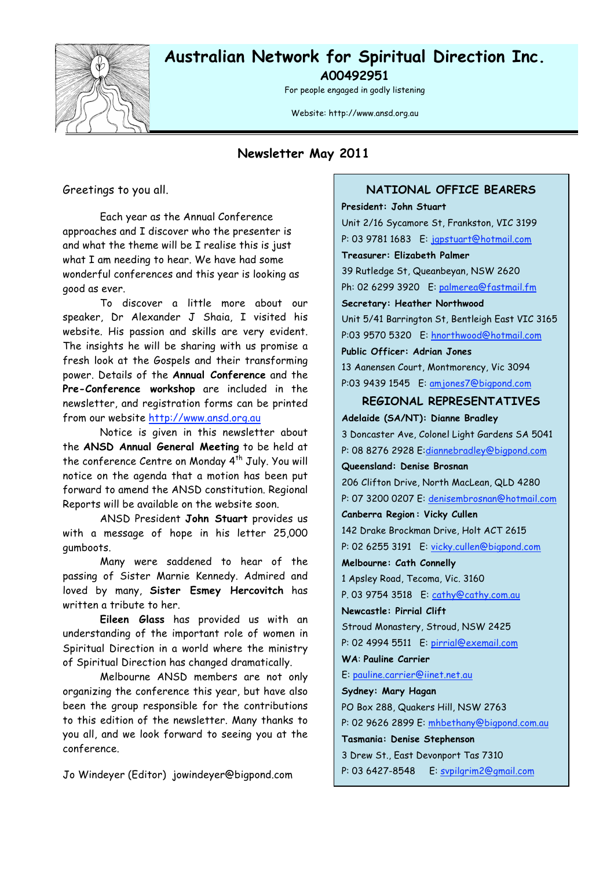

# **Australian Network for Spiritual Direction Inc.**

**A00492951**

For people engaged in godly listening

Website: http://www.ansd.org.au

**Newsletter May 2011**

Greetings to you all.

Each year as the Annual Conference approaches and I discover who the presenter is and what the theme will be I realise this is just what I am needing to hear. We have had some wonderful conferences and this year is looking as good as ever.

To discover a little more about our speaker, Dr Alexander J Shaia, I visited his website. His passion and skills are very evident. The insights he will be sharing with us promise a fresh look at the Gospels and their transforming power. Details of the **Annual Conference** and the **Pre-Conference workshop** are included in the newsletter, and registration forms can be printed from our website http://www.ansd.org.au

Notice is given in this newsletter about the **ANSD Annual General Meeting** to be held at the conference Centre on Monday 4<sup>th</sup> July. You will notice on the agenda that a motion has been put forward to amend the ANSD constitution. Regional Reports will be available on the website soon.

ANSD President **John Stuart** provides us with a message of hope in his letter 25,000 gumboots.

Many were saddened to hear of the passing of Sister Marnie Kennedy. Admired and loved by many, **Sister Esmey Hercovitch** has written a tribute to her.

**Eileen Glass** has provided us with an understanding of the important role of women in Spiritual Direction in a world where the ministry of Spiritual Direction has changed dramatically.

Melbourne ANSD members are not only organizing the conference this year, but have also been the group responsible for the contributions to this edition of the newsletter. Many thanks to you all, and we look forward to seeing you at the conference.

Jo Windeyer (Editor) jowindeyer@bigpond.com

#### **NATIONAL OFFICE BEARERS**

**President: John Stuart** Unit 2/16 Sycamore St, Frankston, VIC 3199 P: 03 9781 1683 E: jgpstuart@hotmail.com **Treasurer: Elizabeth Palmer** 39 Rutledge St, Queanbeyan, NSW 2620 Ph: 02 6299 3920 E: palmerea@fastmail.fm **Secretary: Heather Northwood** Unit 5/41 Barrington St, Bentleigh East VIC 3165 P:03 9570 5320 E: hnorthwood@hotmail.com **Public Officer: Adrian Jones** 13 Aanensen Court, Montmorency, Vic 3094 P:03 9439 1545 E: amjones7@bigpond.com **REGIONAL REPRESENTATIVES Adelaide (SA/NT): Dianne Bradley** 3 Doncaster Ave, Colonel Light Gardens SA 5041 P: 08 8276 2928 E:diannebradley@bigpond.com **Queensland: Denise Brosnan** 206 Clifton Drive, North MacLean, QLD 4280 P: 07 3200 0207 E: denisembrosnan@hotmail.com **Canberra Region : Vicky Cullen** 142 Drake Brockman Drive, Holt ACT 2615 P: 02 6255 3191 E: vicky.cullen@bigpond.com **Melbourne: Cath Connelly** 1 Apsley Road, Tecoma, Vic. 3160 P. 03 9754 3518 E: cathy@cathy.com.au **Newcastle: Pirrial Clift** Stroud Monastery, Stroud, NSW 2425

P: 02 4994 5511 E: pirrial@exemail.com

**WA**: **Pauline Carrier**

E: pauline.carrier@iinet.net.au

**Sydney: Mary Hagan**

PO Box 288, Quakers Hill, NSW 2763

P: 02 9626 2899 E: mhbethany@bigpond.com.au

**Tasmania: Denise Stephenson**

3 Drew St., East Devonport Tas 7310

P: 03 6427-8548 E: svpilgrim2@gmail.com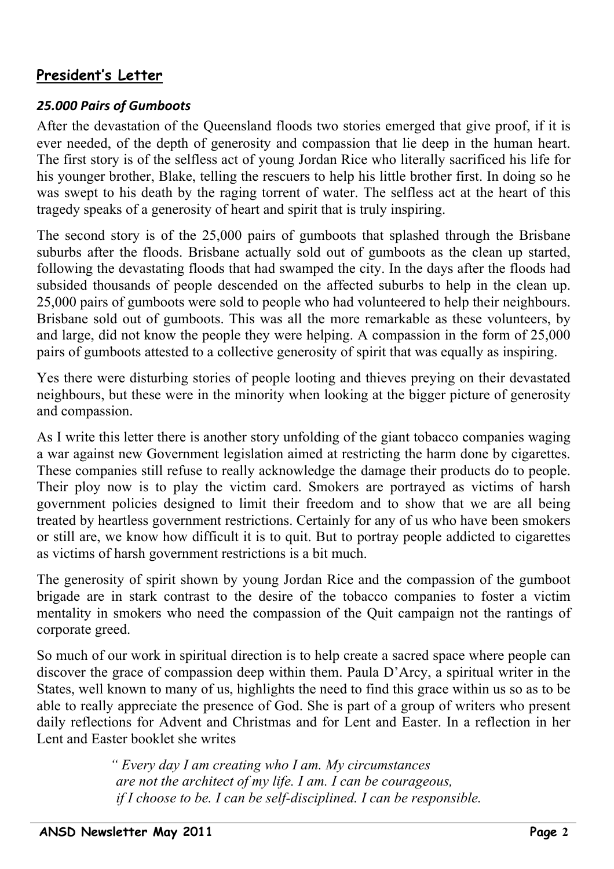# **President's Letter**

### *25.000
Pairs
of
Gumboots*

After the devastation of the Queensland floods two stories emerged that give proof, if it is ever needed, of the depth of generosity and compassion that lie deep in the human heart. The first story is of the selfless act of young Jordan Rice who literally sacrificed his life for his younger brother, Blake, telling the rescuers to help his little brother first. In doing so he was swept to his death by the raging torrent of water. The selfless act at the heart of this tragedy speaks of a generosity of heart and spirit that is truly inspiring.

The second story is of the 25,000 pairs of gumboots that splashed through the Brisbane suburbs after the floods. Brisbane actually sold out of gumboots as the clean up started, following the devastating floods that had swamped the city. In the days after the floods had subsided thousands of people descended on the affected suburbs to help in the clean up. 25,000 pairs of gumboots were sold to people who had volunteered to help their neighbours. Brisbane sold out of gumboots. This was all the more remarkable as these volunteers, by and large, did not know the people they were helping. A compassion in the form of 25,000 pairs of gumboots attested to a collective generosity of spirit that was equally as inspiring.

Yes there were disturbing stories of people looting and thieves preying on their devastated neighbours, but these were in the minority when looking at the bigger picture of generosity and compassion.

As I write this letter there is another story unfolding of the giant tobacco companies waging a war against new Government legislation aimed at restricting the harm done by cigarettes. These companies still refuse to really acknowledge the damage their products do to people. Their ploy now is to play the victim card. Smokers are portrayed as victims of harsh government policies designed to limit their freedom and to show that we are all being treated by heartless government restrictions. Certainly for any of us who have been smokers or still are, we know how difficult it is to quit. But to portray people addicted to cigarettes as victims of harsh government restrictions is a bit much.

The generosity of spirit shown by young Jordan Rice and the compassion of the gumboot brigade are in stark contrast to the desire of the tobacco companies to foster a victim mentality in smokers who need the compassion of the Quit campaign not the rantings of corporate greed.

So much of our work in spiritual direction is to help create a sacred space where people can discover the grace of compassion deep within them. Paula D'Arcy, a spiritual writer in the States, well known to many of us, highlights the need to find this grace within us so as to be able to really appreciate the presence of God. She is part of a group of writers who present daily reflections for Advent and Christmas and for Lent and Easter. In a reflection in her Lent and Easter booklet she writes

> *" Every day I am creating who I am. My circumstances are not the architect of my life. I am. I can be courageous, if I choose to be. I can be self-disciplined. I can be responsible.*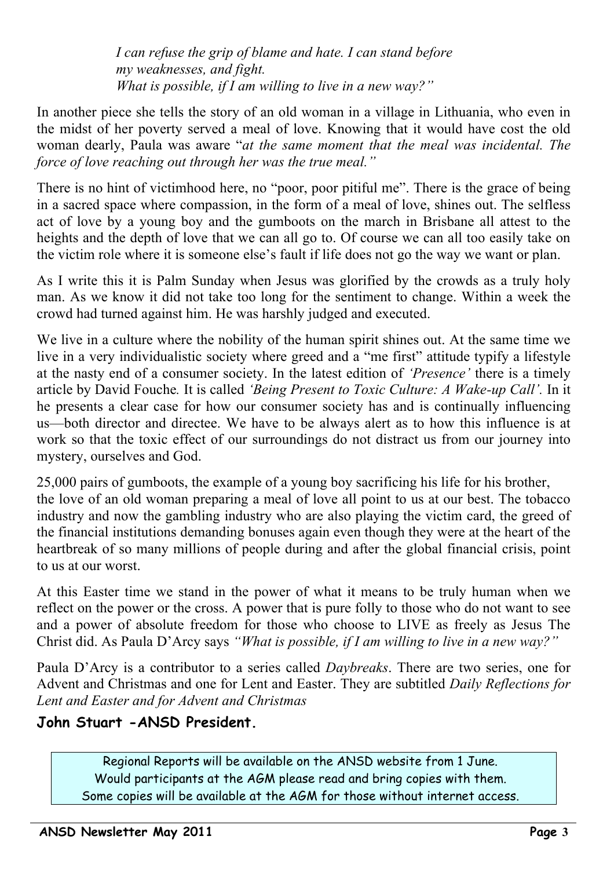*I can refuse the grip of blame and hate. I can stand before my weaknesses, and fight. What is possible, if I am willing to live in a new way?"*

In another piece she tells the story of an old woman in a village in Lithuania, who even in the midst of her poverty served a meal of love. Knowing that it would have cost the old woman dearly, Paula was aware "*at the same moment that the meal was incidental. The force of love reaching out through her was the true meal."*

There is no hint of victimhood here, no "poor, poor pitiful me". There is the grace of being in a sacred space where compassion, in the form of a meal of love, shines out. The selfless act of love by a young boy and the gumboots on the march in Brisbane all attest to the heights and the depth of love that we can all go to. Of course we can all too easily take on the victim role where it is someone else's fault if life does not go the way we want or plan.

As I write this it is Palm Sunday when Jesus was glorified by the crowds as a truly holy man. As we know it did not take too long for the sentiment to change. Within a week the crowd had turned against him. He was harshly judged and executed.

We live in a culture where the nobility of the human spirit shines out. At the same time we live in a very individualistic society where greed and a "me first" attitude typify a lifestyle at the nasty end of a consumer society. In the latest edition of *'Presence'* there is a timely article by David Fouche*.* It is called *'Being Present to Toxic Culture: A Wake-up Call'.* In it he presents a clear case for how our consumer society has and is continually influencing us—both director and directee. We have to be always alert as to how this influence is at work so that the toxic effect of our surroundings do not distract us from our journey into mystery, ourselves and God.

25,000 pairs of gumboots, the example of a young boy sacrificing his life for his brother, the love of an old woman preparing a meal of love all point to us at our best. The tobacco industry and now the gambling industry who are also playing the victim card, the greed of the financial institutions demanding bonuses again even though they were at the heart of the heartbreak of so many millions of people during and after the global financial crisis, point to us at our worst. Ĭ

At this Easter time we stand in the power of what it means to be truly human when we reflect on the power or the cross. A power that is pure folly to those who do not want to see and a power of absolute freedom for those who choose to LIVE as freely as Jesus The Christ did. As Paula D'Arcy says *"What is possible, if I am willing to live in a new way?"* 

Paula D'Arcy is a contributor to a series called *Daybreaks*. There are two series, one for Advent and Christmas and one for Lent and Easter. They are subtitled *Daily Reflections for Lent and Easter and for Advent and Christmas*

# **John Stuart -ANSD President.**

Regional Reports will be available on the ANSD website from 1 June. Would participants at the AGM please read and bring copies with them. Some copies will be available at the AGM for those without internet access.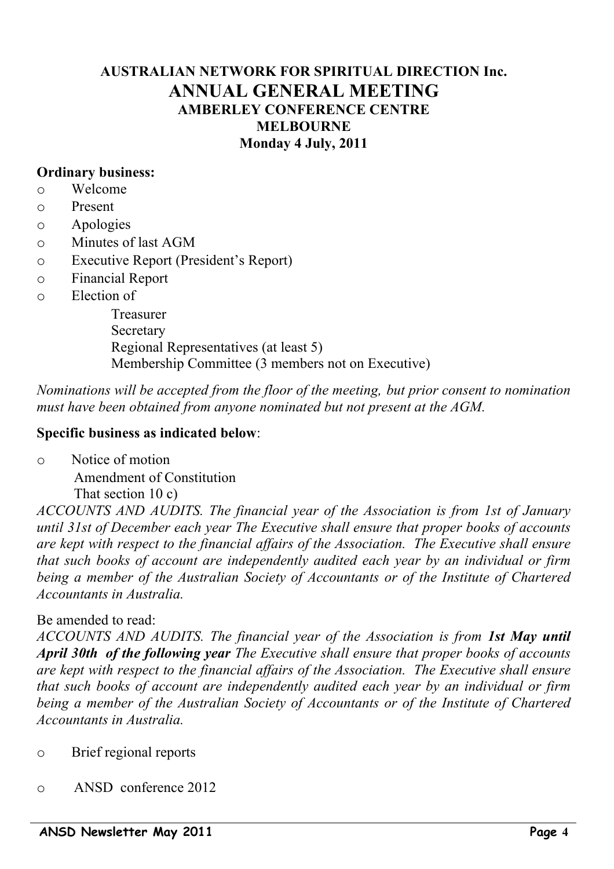### **AUSTRALIAN NETWORK FOR SPIRITUAL DIRECTION Inc. ANNUAL GENERAL MEETING AMBERLEY CONFERENCE CENTRE MELBOURNE Monday 4 July, 2011**

### **Ordinary business:**

- o Welcome
- o Present
- o Apologies
- o Minutes of last AGM
- o Executive Report (President's Report)
- o Financial Report
- o Election of

Treasurer **Secretary** Regional Representatives (at least 5) Membership Committee (3 members not on Executive)

### *Nominations will be accepted from the floor of the meeting, but prior consent to nomination must have been obtained from anyone nominated but not present at the AGM.*

#### **Specific business as indicated below**:

o Notice of motion

Amendment of Constitution That section 10 c)

*ACCOUNTS AND AUDITS. The financial year of the Association is from 1st of January until 31st of December each year The Executive shall ensure that proper books of accounts are kept with respect to the financial affairs of the Association. The Executive shall ensure that such books of account are independently audited each year by an individual or firm being a member of the Australian Society of Accountants or of the Institute of Chartered Accountants in Australia.*

### Be amended to read:

*ACCOUNTS AND AUDITS. The financial year of the Association is from 1st May until April 30th of the following year The Executive shall ensure that proper books of accounts are kept with respect to the financial affairs of the Association. The Executive shall ensure that such books of account are independently audited each year by an individual or firm being a member of the Australian Society of Accountants or of the Institute of Chartered Accountants in Australia.*

- o Brief regional reports
- o ANSD conference 2012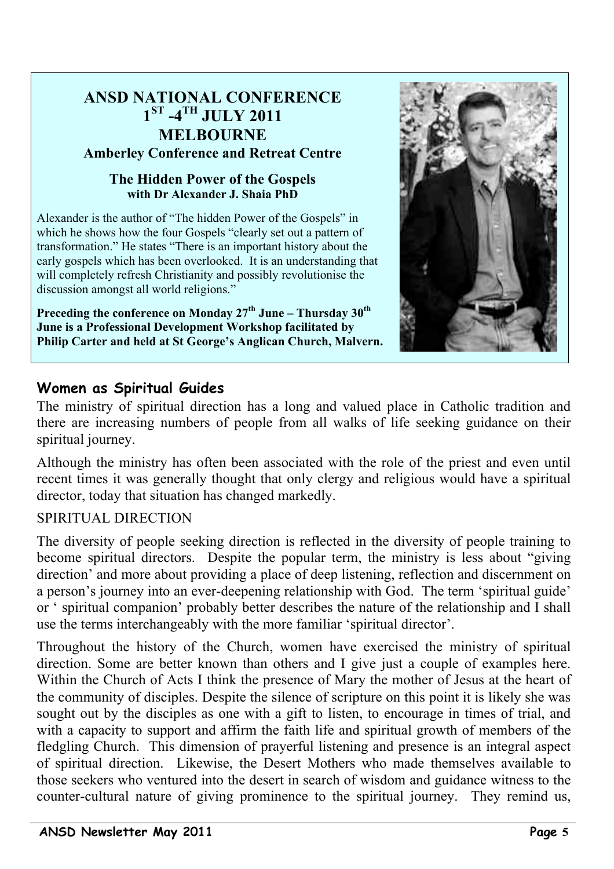# **ANSD NATIONAL CONFERENCE 1ST -4TH JULY 2011 MELBOURNE Amberley Conference and Retreat Centre**

### **The Hidden Power of the Gospels with Dr Alexander J. Shaia PhD**

Alexander is the author of "The hidden Power of the Gospels" in which he shows how the four Gospels "clearly set out a pattern of transformation." He states "There is an important history about the early gospels which has been overlooked. It is an understanding that will completely refresh Christianity and possibly revolutionise the discussion amongst all world religions."

Preceding the conference on Monday 27<sup>th</sup> June – Thursday 30<sup>th</sup> **June is a Professional Development Workshop facilitated by Philip Carter and held at St George's Anglican Church, Malvern.**



# **Women as Spiritual Guides**

The ministry of spiritual direction has a long and valued place in Catholic tradition and there are increasing numbers of people from all walks of life seeking guidance on their spiritual journey.

Although the ministry has often been associated with the role of the priest and even until recent times it was generally thought that only clergy and religious would have a spiritual director, today that situation has changed markedly.

### SPIRITUAL DIRECTION

The diversity of people seeking direction is reflected in the diversity of people training to become spiritual directors. Despite the popular term, the ministry is less about "giving direction' and more about providing a place of deep listening, reflection and discernment on a person's journey into an ever-deepening relationship with God. The term 'spiritual guide' or ' spiritual companion' probably better describes the nature of the relationship and I shall use the terms interchangeably with the more familiar 'spiritual director'.

Throughout the history of the Church, women have exercised the ministry of spiritual direction. Some are better known than others and I give just a couple of examples here. Within the Church of Acts I think the presence of Mary the mother of Jesus at the heart of the community of disciples. Despite the silence of scripture on this point it is likely she was sought out by the disciples as one with a gift to listen, to encourage in times of trial, and with a capacity to support and affirm the faith life and spiritual growth of members of the fledgling Church. This dimension of prayerful listening and presence is an integral aspect of spiritual direction. Likewise, the Desert Mothers who made themselves available to those seekers who ventured into the desert in search of wisdom and guidance witness to the counter-cultural nature of giving prominence to the spiritual journey. They remind us,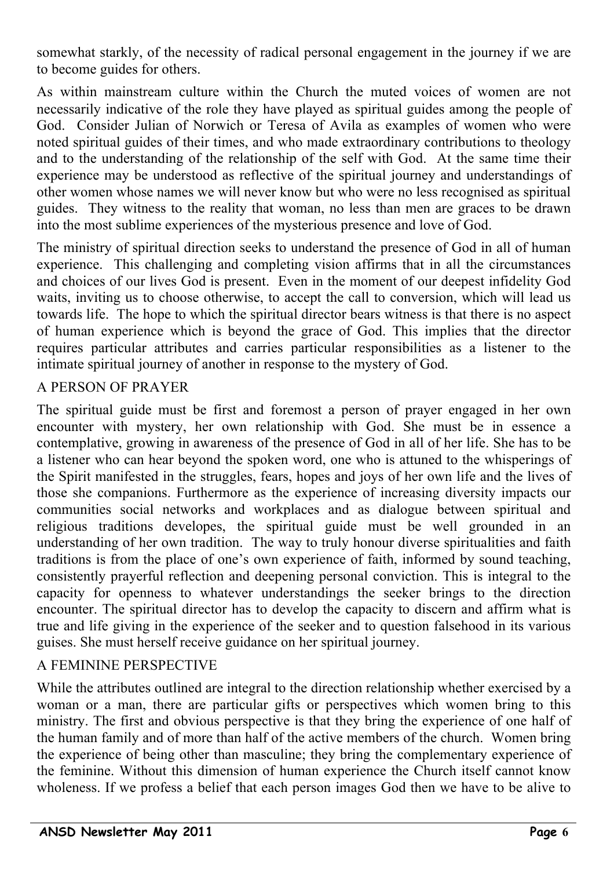somewhat starkly, of the necessity of radical personal engagement in the journey if we are to become guides for others.

As within mainstream culture within the Church the muted voices of women are not necessarily indicative of the role they have played as spiritual guides among the people of God. Consider Julian of Norwich or Teresa of Avila as examples of women who were noted spiritual guides of their times, and who made extraordinary contributions to theology and to the understanding of the relationship of the self with God. At the same time their experience may be understood as reflective of the spiritual journey and understandings of other women whose names we will never know but who were no less recognised as spiritual guides. They witness to the reality that woman, no less than men are graces to be drawn into the most sublime experiences of the mysterious presence and love of God.

The ministry of spiritual direction seeks to understand the presence of God in all of human experience. This challenging and completing vision affirms that in all the circumstances and choices of our lives God is present. Even in the moment of our deepest infidelity God waits, inviting us to choose otherwise, to accept the call to conversion, which will lead us towards life. The hope to which the spiritual director bears witness is that there is no aspect of human experience which is beyond the grace of God. This implies that the director requires particular attributes and carries particular responsibilities as a listener to the intimate spiritual journey of another in response to the mystery of God.

### A PERSON OF PRAYER

The spiritual guide must be first and foremost a person of prayer engaged in her own encounter with mystery, her own relationship with God. She must be in essence a contemplative, growing in awareness of the presence of God in all of her life. She has to be a listener who can hear beyond the spoken word, one who is attuned to the whisperings of the Spirit manifested in the struggles, fears, hopes and joys of her own life and the lives of those she companions. Furthermore as the experience of increasing diversity impacts our communities social networks and workplaces and as dialogue between spiritual and religious traditions developes, the spiritual guide must be well grounded in an understanding of her own tradition. The way to truly honour diverse spiritualities and faith traditions is from the place of one's own experience of faith, informed by sound teaching, consistently prayerful reflection and deepening personal conviction. This is integral to the capacity for openness to whatever understandings the seeker brings to the direction encounter. The spiritual director has to develop the capacity to discern and affirm what is true and life giving in the experience of the seeker and to question falsehood in its various guises. She must herself receive guidance on her spiritual journey.

### A FEMININE PERSPECTIVE

While the attributes outlined are integral to the direction relationship whether exercised by a woman or a man, there are particular gifts or perspectives which women bring to this ministry. The first and obvious perspective is that they bring the experience of one half of the human family and of more than half of the active members of the church. Women bring the experience of being other than masculine; they bring the complementary experience of the feminine. Without this dimension of human experience the Church itself cannot know wholeness. If we profess a belief that each person images God then we have to be alive to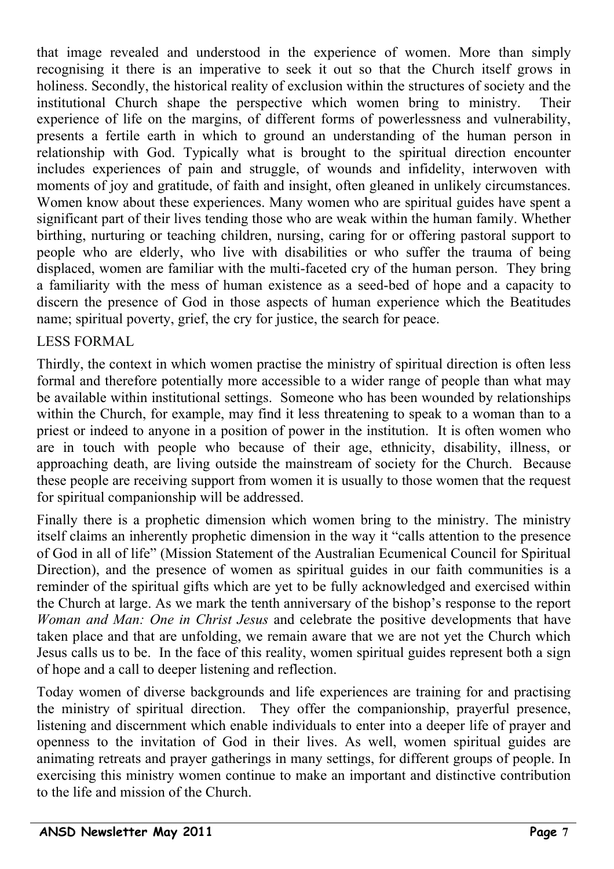that image revealed and understood in the experience of women. More than simply recognising it there is an imperative to seek it out so that the Church itself grows in holiness. Secondly, the historical reality of exclusion within the structures of society and the institutional Church shape the perspective which women bring to ministry. Their experience of life on the margins, of different forms of powerlessness and vulnerability, presents a fertile earth in which to ground an understanding of the human person in relationship with God. Typically what is brought to the spiritual direction encounter includes experiences of pain and struggle, of wounds and infidelity, interwoven with moments of joy and gratitude, of faith and insight, often gleaned in unlikely circumstances. Women know about these experiences. Many women who are spiritual guides have spent a significant part of their lives tending those who are weak within the human family. Whether birthing, nurturing or teaching children, nursing, caring for or offering pastoral support to people who are elderly, who live with disabilities or who suffer the trauma of being displaced, women are familiar with the multi-faceted cry of the human person. They bring a familiarity with the mess of human existence as a seed-bed of hope and a capacity to discern the presence of God in those aspects of human experience which the Beatitudes name; spiritual poverty, grief, the cry for justice, the search for peace.

### LESS FORMAL

Thirdly, the context in which women practise the ministry of spiritual direction is often less formal and therefore potentially more accessible to a wider range of people than what may be available within institutional settings. Someone who has been wounded by relationships within the Church, for example, may find it less threatening to speak to a woman than to a priest or indeed to anyone in a position of power in the institution. It is often women who are in touch with people who because of their age, ethnicity, disability, illness, or approaching death, are living outside the mainstream of society for the Church. Because these people are receiving support from women it is usually to those women that the request for spiritual companionship will be addressed.

Finally there is a prophetic dimension which women bring to the ministry. The ministry itself claims an inherently prophetic dimension in the way it "calls attention to the presence of God in all of life" (Mission Statement of the Australian Ecumenical Council for Spiritual Direction), and the presence of women as spiritual guides in our faith communities is a reminder of the spiritual gifts which are yet to be fully acknowledged and exercised within the Church at large. As we mark the tenth anniversary of the bishop's response to the report *Woman and Man: One in Christ Jesus* and celebrate the positive developments that have taken place and that are unfolding, we remain aware that we are not yet the Church which Jesus calls us to be. In the face of this reality, women spiritual guides represent both a sign of hope and a call to deeper listening and reflection.

Today women of diverse backgrounds and life experiences are training for and practising the ministry of spiritual direction. They offer the companionship, prayerful presence, listening and discernment which enable individuals to enter into a deeper life of prayer and openness to the invitation of God in their lives. As well, women spiritual guides are animating retreats and prayer gatherings in many settings, for different groups of people. In exercising this ministry women continue to make an important and distinctive contribution to the life and mission of the Church.